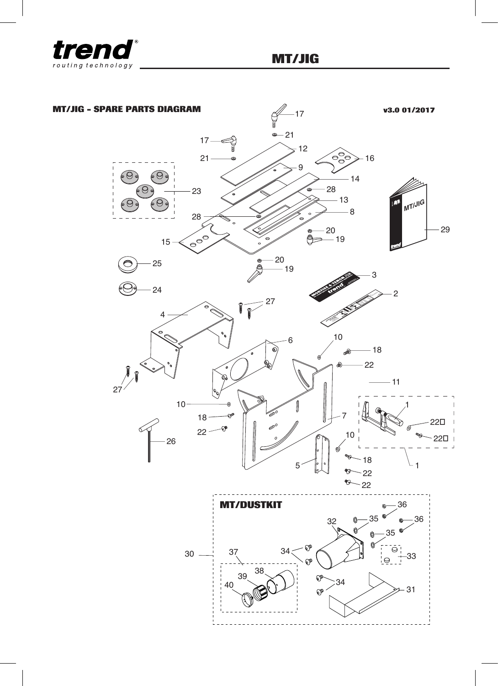

## **MT/JIG - SPARE PARTS DIAGRAM v3.0 01/2017** $-17$  $-21$ -4  $17 = 12$ 16 21 9  $\circledcirc$  $\circ$  $-14$ 28 23  $-13$ **MT/JI<sup>G</sup> G** Θ 8 28 29 20  $\begin{matrix} 1 & 1 \\ 1 & 1 \end{matrix}$ Ó  $-19$ 15 20 25 -<br>- 19 3 24 2 **For tenon use cutter CO26 For mortise use 2-1/8" collar WP-MT/02/UK** 27 **GUIDE BUSH & CUTTER SELECTION TENON BUSH MORTISE CUTTER 6.4mmTENON WIDTH 1/4"15.9mm GB302GB318 5/8" 1/4" 6.4<sup>R</sup> 5/8" 15.9 3/8" 9.55/16" 7.9 1/4" 6.4 Align with tenon end** 4 **5/8" 15.9 & position templatesMORTISE & TENON JIG SET-UP BAR 1. Set Timber Height 2. Set Centre Line3. Set Tenon Length**  $\bullet$  $\Omega$ 6  $-18$ 22  $-11$  $27'$ 10 1 18 7 22  $22 -$ 10  $22\square$ 26  $\overline{\phantom{a}}$ 18 5 1 22 99  $-22$ **MT/DUSTKIT** 36 36 35 32 35 - 02 37 34 30 :3 38 38 Q 34  $40$  $\mathbb{S}^{\mathbb{P}}$ 31 t